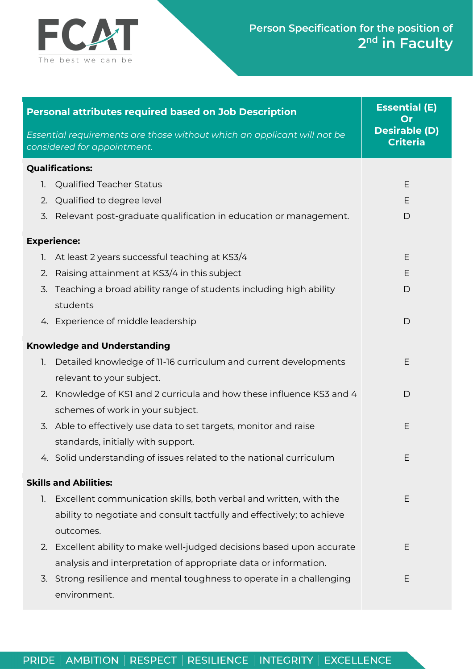

| <b>Personal attributes required based on Job Description</b>                                                                                                   | <b>Essential (E)</b><br>Or              |
|----------------------------------------------------------------------------------------------------------------------------------------------------------------|-----------------------------------------|
| Essential requirements are those without which an applicant will not be<br>considered for appointment.                                                         | <b>Desirable (D)</b><br><b>Criteria</b> |
| <b>Qualifications:</b>                                                                                                                                         |                                         |
| <b>Qualified Teacher Status</b><br>1.                                                                                                                          | E                                       |
| 2. Qualified to degree level                                                                                                                                   | E                                       |
| Relevant post-graduate qualification in education or management.<br>3.                                                                                         | D                                       |
| <b>Experience:</b>                                                                                                                                             |                                         |
| 1. At least 2 years successful teaching at KS3/4                                                                                                               | E                                       |
| Raising attainment at KS3/4 in this subject<br>2.                                                                                                              | Е                                       |
| Teaching a broad ability range of students including high ability<br>3.<br>students                                                                            | D                                       |
| 4. Experience of middle leadership                                                                                                                             | $\mathsf{D}$                            |
| <b>Knowledge and Understanding</b>                                                                                                                             |                                         |
| Detailed knowledge of 11-16 curriculum and current developments<br>1.<br>relevant to your subject.                                                             | E                                       |
| Knowledge of KSI and 2 curricula and how these influence KS3 and 4<br>2.<br>schemes of work in your subject.                                                   | D                                       |
| 3. Able to effectively use data to set targets, monitor and raise<br>standards, initially with support.                                                        | Ε                                       |
| 4. Solid understanding of issues related to the national curriculum                                                                                            | Ε                                       |
| <b>Skills and Abilities:</b>                                                                                                                                   |                                         |
| Excellent communication skills, both verbal and written, with the<br>1.<br>ability to negotiate and consult tactfully and effectively; to achieve<br>outcomes. | E                                       |
| Excellent ability to make well-judged decisions based upon accurate<br>2.                                                                                      | E                                       |
| analysis and interpretation of appropriate data or information.                                                                                                |                                         |
| 3. Strong resilience and mental toughness to operate in a challenging<br>environment.                                                                          | E                                       |